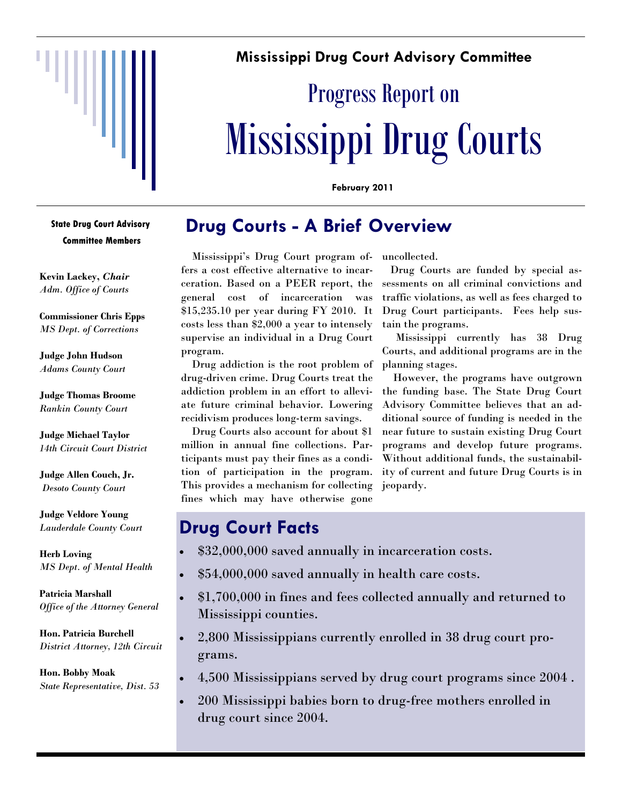

### **Mississippi Drug Court Advisory Committee**

# Progress Report on Mississippi Drug Courts

**February 2011** 

# **Drug Courts - A Brief Overview**

 Mississippi's Drug Court program offers a cost effective alternative to incarceration. Based on a PEER report, the general cost of incarceration was \$15,235.10 per year during FY 2010. It costs less than \$2,000 a year to intensely supervise an individual in a Drug Court program.

 Drug addiction is the root problem of drug-driven crime. Drug Courts treat the addiction problem in an effort to alleviate future criminal behavior. Lowering recidivism produces long-term savings.

 Drug Courts also account for about \$1 million in annual fine collections. Participants must pay their fines as a condition of participation in the program. This provides a mechanism for collecting fines which may have otherwise gone

uncollected.

 Drug Courts are funded by special assessments on all criminal convictions and traffic violations, as well as fees charged to Drug Court participants. Fees help sustain the programs.

 Mississippi currently has 38 Drug Courts, and additional programs are in the planning stages.

 However, the programs have outgrown the funding base. The State Drug Court Advisory Committee believes that an additional source of funding is needed in the near future to sustain existing Drug Court programs and develop future programs. Without additional funds, the sustainability of current and future Drug Courts is in jeopardy.

## **Drug Court Facts**

- \$32,000,000 saved annually in incarceration costs.
- \$54,000,000 saved annually in health care costs.
- \$1,700,000 in fines and fees collected annually and returned to Mississippi counties.
- 2,800 Mississippians currently enrolled in 38 drug court programs.
- 4,500 Mississippians served by drug court programs since 2004 .
- 200 Mississippi babies born to drug-free mothers enrolled in drug court since 2004.

**State Drug Court Advisory Committee Members** 

**Kevin Lackey,** *Chair Adm. Office of Courts* 

**Commissioner Chris Epps**  *MS Dept. of Corrections* 

**Judge John Hudson**  *Adams County Court* 

**Judge Thomas Broome** *Rankin County Court* 

**Judge Michael Taylor** *14th Circuit Court District* 

**Judge Allen Couch, Jr.**  *Desoto County Court* 

**Judge Veldore Young**  *Lauderdale County Court* 

**Herb Loving**  *MS Dept. of Mental Health* 

**Patricia Marshall** *Office of the Attorney General* 

**Hon. Patricia Burchell**  *District Attorney, 12th Circuit* 

**Hon. Bobby Moak**  *State Representative, Dist. 53*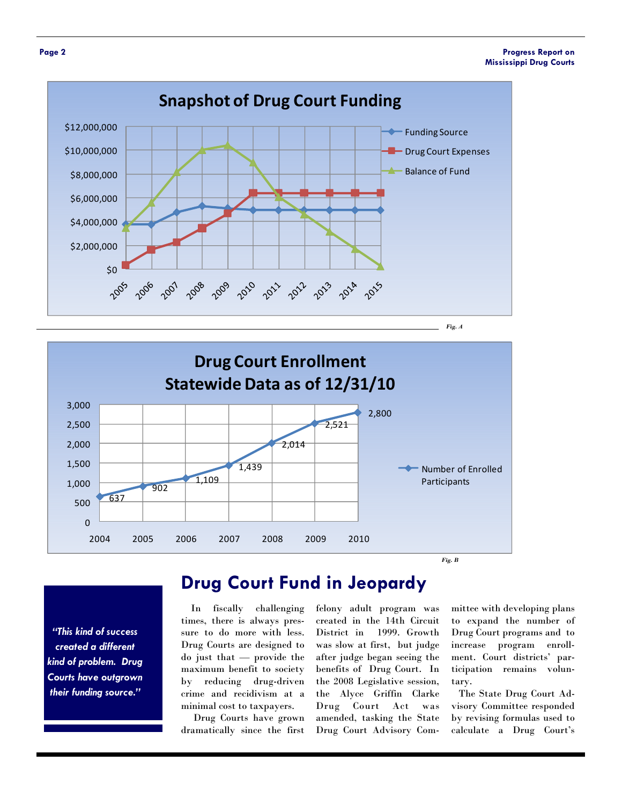

*Fig. A* 



*"This kind of success created a different kind of problem. Drug Courts have outgrown their funding source."* 

# **Drug Court Fund in Jeopardy**

 In fiscally challenging times, there is always pressure to do more with less. Drug Courts are designed to do just that — provide the maximum benefit to society by reducing drug-driven crime and recidivism at a minimal cost to taxpayers.

 Drug Courts have grown dramatically since the first

felony adult program was created in the 14th Circuit District in 1999. Growth was slow at first, but judge after judge began seeing the benefits of Drug Court. In the 2008 Legislative session, the Alyce Griffin Clarke Drug Court Act was amended, tasking the State Drug Court Advisory Com-

mittee with developing plans to expand the number of Drug Court programs and to increase program enrollment. Court districts' participation remains voluntary.

 The State Drug Court Advisory Committee responded by revising formulas used to calculate a Drug Court's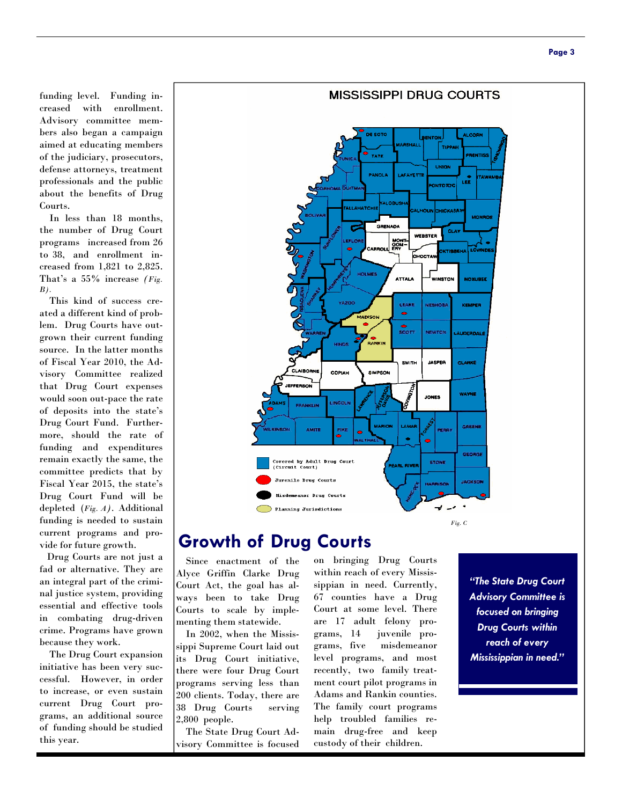funding level. Funding increased with enrollment. Advisory committee members also began a campaign aimed at educating members of the judiciary, prosecutors, defense attorneys, treatment professionals and the public about the benefits of Drug Courts.

 In less than 18 months, the number of Drug Court programs increased from 26 to 38, and enrollment increased from 1,821 to 2,825. That's a 55% increase *(Fig. B).*

 This kind of success created a different kind of problem. Drug Courts have outgrown their current funding source. In the latter months of Fiscal Year 2010, the Advisory Committee realized that Drug Court expenses would soon out-pace the rate of deposits into the state's Drug Court Fund. Furthermore, should the rate of funding and expenditures remain exactly the same, the committee predicts that by Fiscal Year 2015, the state's Drug Court Fund will be depleted (*Fig. A).* Additional funding is needed to sustain current programs and provide for future growth.

Drug Courts are not just a fad or alternative. They are an integral part of the criminal justice system, providing essential and effective tools in combating drug-driven crime. Programs have grown because they work.

 The Drug Court expansion initiative has been very successful. However, in order to increase, or even sustain current Drug Court programs, an additional source of funding should be studied this year.



#### **Growth of Drug Courts**

 Since enactment of the Alyce Griffin Clarke Drug Court Act, the goal has always been to take Drug Courts to scale by implementing them statewide.

 In 2002, when the Mississippi Supreme Court laid out its Drug Court initiative, there were four Drug Court programs serving less than 200 clients. Today, there are 38 Drug Courts serving 2,800 people.

 The State Drug Court Advisory Committee is focused on bringing Drug Courts within reach of every Mississippian in need. Currently, 67 counties have a Drug Court at some level. There are 17 adult felony programs, 14 juvenile programs, five misdemeanor level programs, and most recently, two family treatment court pilot programs in Adams and Rankin counties. The family court programs help troubled families remain drug-free and keep custody of their children.

*"The State Drug Court Advisory Committee is focused on bringing Drug Courts within reach of every Mississippian in need."*